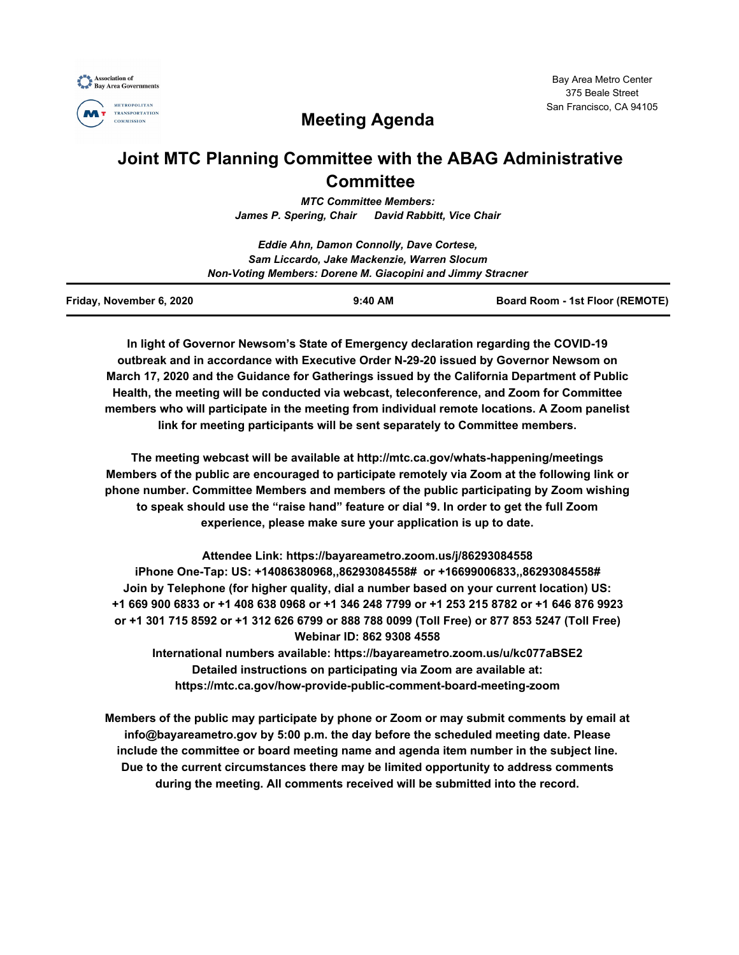



# **Meeting Agenda**

## **Joint MTC Planning Committee with the ABAG Administrative Committee**

*MTC Committee Members: James P. Spering, Chair David Rabbitt, Vice Chair*

|                          | Eddie Ahn, Damon Connolly, Dave Cortese,                   |                                 |
|--------------------------|------------------------------------------------------------|---------------------------------|
|                          | Sam Liccardo, Jake Mackenzie, Warren Slocum                |                                 |
|                          | Non-Voting Members: Dorene M. Giacopini and Jimmy Stracner |                                 |
| Friday, November 6, 2020 | $9:40$ AM                                                  | Board Room - 1st Floor (REMOTE) |

**In light of Governor Newsom's State of Emergency declaration regarding the COVID-19 outbreak and in accordance with Executive Order N-29-20 issued by Governor Newsom on March 17, 2020 and the Guidance for Gatherings issued by the California Department of Public Health, the meeting will be conducted via webcast, teleconference, and Zoom for Committee members who will participate in the meeting from individual remote locations. A Zoom panelist link for meeting participants will be sent separately to Committee members.**

**The meeting webcast will be available at http://mtc.ca.gov/whats-happening/meetings Members of the public are encouraged to participate remotely via Zoom at the following link or phone number. Committee Members and members of the public participating by Zoom wishing to speak should use the "raise hand" feature or dial \*9. In order to get the full Zoom experience, please make sure your application is up to date.**

**Attendee Link: https://bayareametro.zoom.us/j/86293084558 iPhone One-Tap: US: +14086380968,,86293084558# or +16699006833,,86293084558# Join by Telephone (for higher quality, dial a number based on your current location) US: +1 669 900 6833 or +1 408 638 0968 or +1 346 248 7799 or +1 253 215 8782 or +1 646 876 9923 or +1 301 715 8592 or +1 312 626 6799 or 888 788 0099 (Toll Free) or 877 853 5247 (Toll Free) Webinar ID: 862 9308 4558**

**International numbers available: https://bayareametro.zoom.us/u/kc077aBSE2 Detailed instructions on participating via Zoom are available at: https://mtc.ca.gov/how-provide-public-comment-board-meeting-zoom**

**Members of the public may participate by phone or Zoom or may submit comments by email at info@bayareametro.gov by 5:00 p.m. the day before the scheduled meeting date. Please include the committee or board meeting name and agenda item number in the subject line. Due to the current circumstances there may be limited opportunity to address comments during the meeting. All comments received will be submitted into the record.**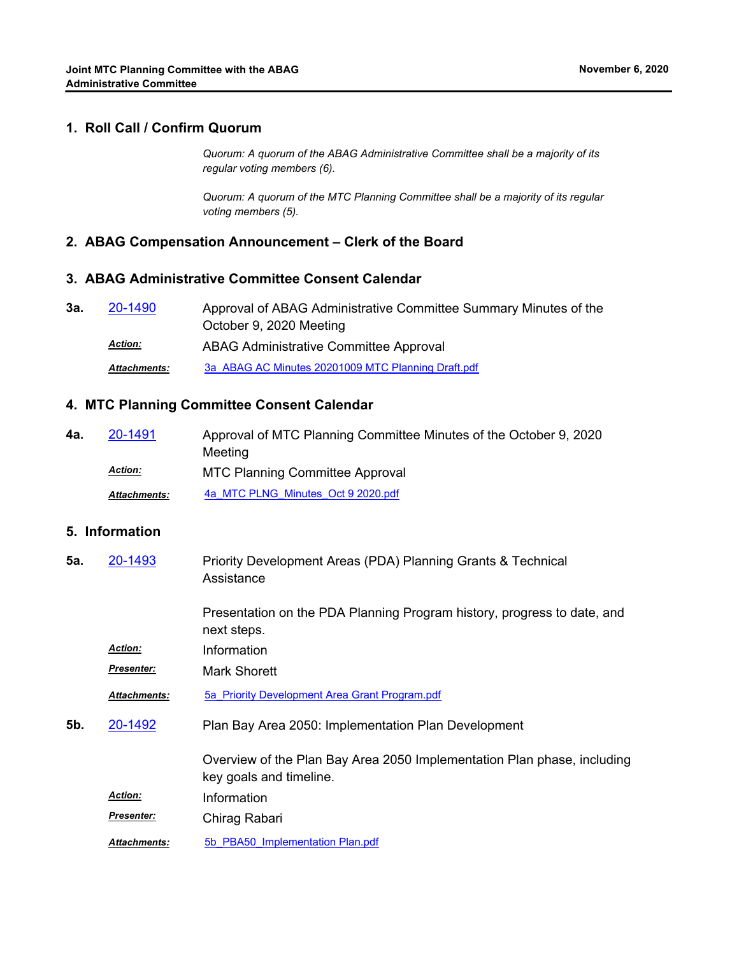#### **1. Roll Call / Confirm Quorum**

*Quorum: A quorum of the ABAG Administrative Committee shall be a majority of its regular voting members (6).*

*Quorum: A quorum of the MTC Planning Committee shall be a majority of its regular voting members (5).*

#### **2. ABAG Compensation Announcement – Clerk of the Board**

## **3. ABAG Administrative Committee Consent Calendar**

| За. | 20-1490             | Approval of ABAG Administrative Committee Summary Minutes of the |
|-----|---------------------|------------------------------------------------------------------|
|     |                     | October 9, 2020 Meeting                                          |
|     | <b>Action:</b>      | ABAG Administrative Committee Approval                           |
|     | <b>Attachments:</b> | 3a ABAG AC Minutes 20201009 MTC Planning Draft.pdf               |

### **4. MTC Planning Committee Consent Calendar**

| 4a. | 20-1491             | Approval of MTC Planning Committee Minutes of the October 9, 2020 |
|-----|---------------------|-------------------------------------------------------------------|
|     |                     | Meeting                                                           |
|     | <b>Action:</b>      | <b>MTC Planning Committee Approval</b>                            |
|     | <b>Attachments:</b> | 4a MTC PLNG Minutes Oct 9 2020.pdf                                |

## **5. Information**

| 5а. | 20-1493             | Priority Development Areas (PDA) Planning Grants & Technical<br>Assistance                         |
|-----|---------------------|----------------------------------------------------------------------------------------------------|
|     |                     | Presentation on the PDA Planning Program history, progress to date, and<br>next steps.             |
|     | <b>Action:</b>      | Information                                                                                        |
|     | Presenter:          | Mark Shorett                                                                                       |
|     | <b>Attachments:</b> | 5a Priority Development Area Grant Program.pdf                                                     |
| 5b. | 20-1492             | Plan Bay Area 2050: Implementation Plan Development                                                |
|     |                     | Overview of the Plan Bay Area 2050 Implementation Plan phase, including<br>key goals and timeline. |
|     | <b>Action:</b>      | Information                                                                                        |
|     | <b>Presenter:</b>   | Chirag Rabari                                                                                      |
|     | <b>Attachments:</b> | 5b PBA50 Implementation Plan.pdf                                                                   |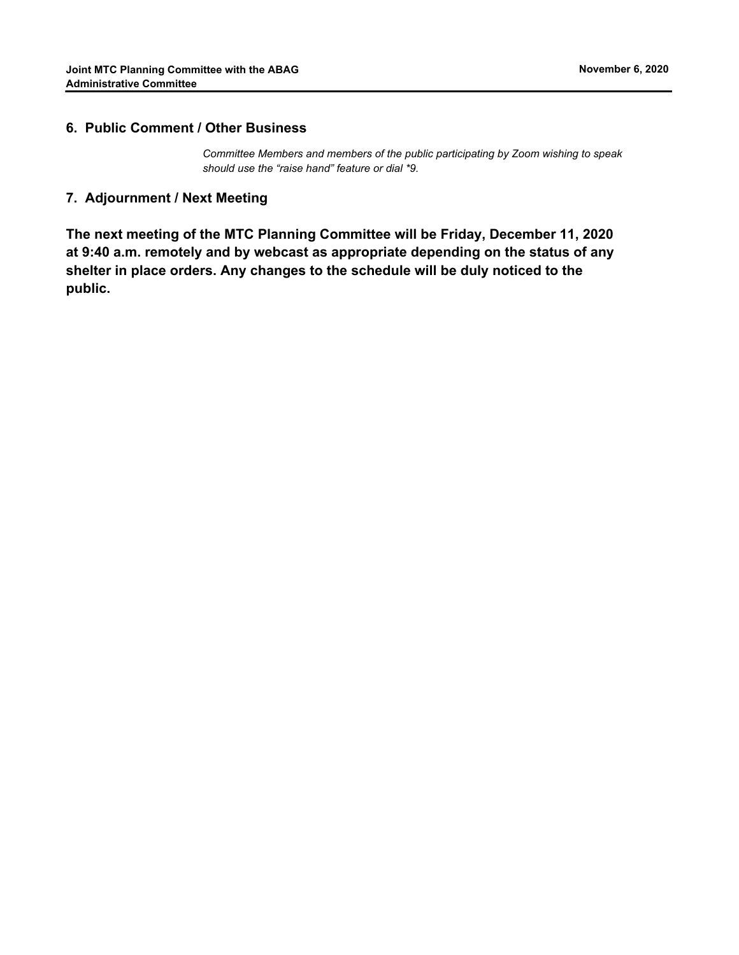#### **6. Public Comment / Other Business**

*Committee Members and members of the public participating by Zoom wishing to speak should use the "raise hand" feature or dial \*9.*

#### **7. Adjournment / Next Meeting**

**The next meeting of the MTC Planning Committee will be Friday, December 11, 2020 at 9:40 a.m. remotely and by webcast as appropriate depending on the status of any shelter in place orders. Any changes to the schedule will be duly noticed to the public.**